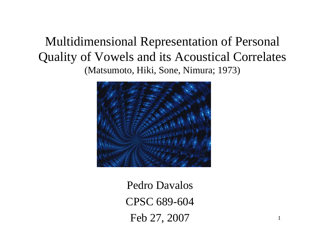### Multidimensional Representation of Personal Quality of Vowels and its Acoustical Correlates (Matsumoto, Hiki, Sone, Nimura; 1973)



Pedro DavalosCPSC 689-604 Feb 27, 2007

1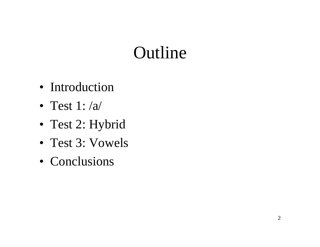# Outline

- Introduction
- Test 1:  $/a/$
- Test 2: Hybrid
- Test 3: Vowels
- Conclusions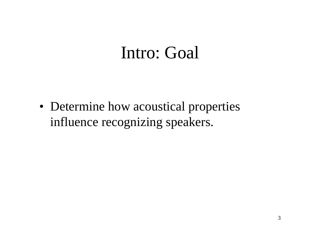### Intro: Goal

• Determine how acoustical properties influence recognizing speakers.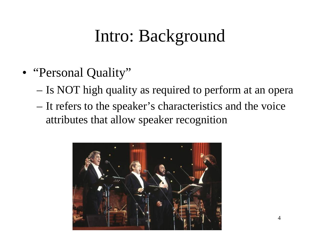# Intro: Background

- "Personal Quality"
	- Is NOT high quality as required to perform at an opera
	- – It refers to the speaker's characteristics and the voice attributes that allow speaker recognition

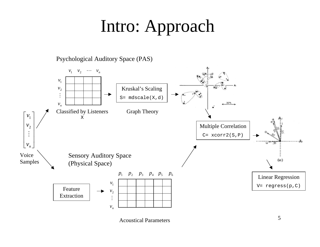# Intro: Approach

Psychological Auditory Space (PAS)

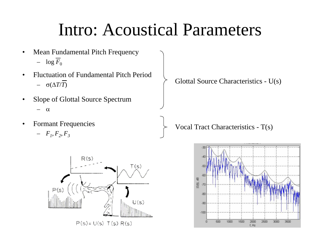## Intro: Acoustical Parameters

- • Mean Fundamental Pitch Frequency  $\log F_0$
- • Fluctuation of Fundamental Pitch Period $-$  σ(Δ*T*/*T*)
- • Slope of Glottal Source Spectrum α
- •Formant Frequencies





Glottal Source Characteristics - U(s)

Vocal Tract Characteristics - T(s)

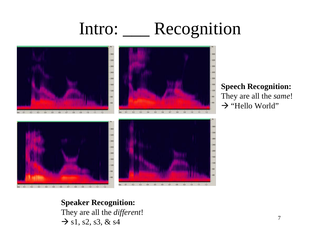# Intro: \_\_\_ Recognition



#### **Speech Recognition:** They are all the *same*!

 $\rightarrow$  "Hello World"

#### **Speaker Recognition:** They are all the *different*!  $\rightarrow$  s1, s2, s3, & s4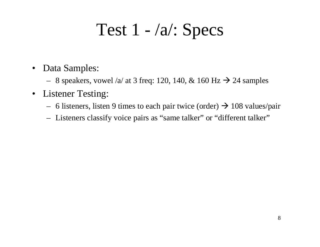## Test  $1 - \sqrt{a}$ : Specs

- • Data Samples:
	- 8 speakers, vowel /a/ at 3 freq: 120, 140, & 160 Hz  $\rightarrow$  24 samples
- Listener Testing:
	- 6 listeners, listen 9 times to each pair twice (order)  $\rightarrow$  108 values/pair
	- Listeners classify voice pairs as "same talker" or "different talker"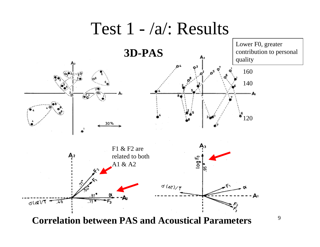



9

**Correlation between PAS and Acoustical Parameters**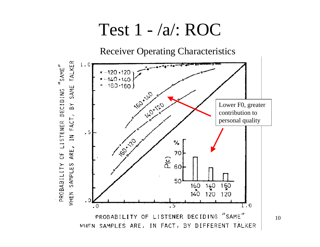### Test 1 - /a/: ROC

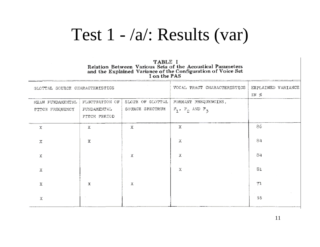### Test 1 - /a/: Results (var)

#### TABLE I Relation Between Various Sets of the Acoustical Parameters and the Explained Variance of the Configuration of Voice Set

| GLOTTAL SOURCE CHARACTERISTICS      |                                                |                                     | VOCAL TRACT CHARACTERISTICS                     | EXPLAINED VARIANCE<br>IN % |  |  |
|-------------------------------------|------------------------------------------------|-------------------------------------|-------------------------------------------------|----------------------------|--|--|
| MEAN FUNDAMENTAL<br>PITCH FREQUENCY | FLUCTUATION OF<br>FUNDAMENT AL<br>PITCH PERIOD | SLOPE OF GLOTTAL<br>SOURCE SPECTRUM | FORMANT FREQUENCIES,<br>$F_1$ , $F_2$ AND $F_3$ |                            |  |  |
| х                                   | Χ                                              | X.                                  | х                                               | 86                         |  |  |
| Х                                   | х                                              |                                     | Х                                               | 84                         |  |  |
| X                                   |                                                | Х                                   | х                                               | 84                         |  |  |
| X                                   |                                                |                                     | х                                               | 81                         |  |  |
| х                                   | х                                              | Х                                   |                                                 | 71                         |  |  |
| х                                   |                                                |                                     |                                                 | 55                         |  |  |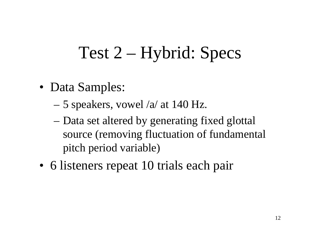# Test 2 – Hybrid: Specs

- Data Samples:
	- 5 speakers, vowel /a/ at 140 Hz.
	- Data set altered by generating fixed glottal source (removing fluctuation of fundamental pitch period variable)
- 6 listeners repeat 10 trials each pair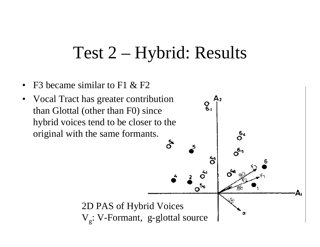## Test 2 – Hybrid: Results

 $A<sub>2</sub>$ 

ဝိန<br>O

 $\mathbf{e}_i$ 

້ຈ່

- •F3 became similar to F1 & F2
- Vocal Tract has greater contribution •than Glottal (other than F0) since hybrid voices tend to be closer to the original with the same formants. å

2D PAS of Hybrid Voices V<sub>g</sub>: V-Formant, g-glottal source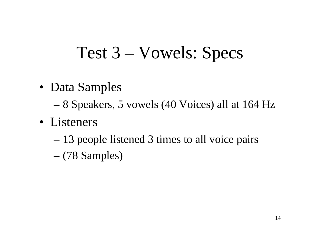## Test 3 – Vowels: Specs

- Data Samples
	- 8 Speakers, 5 vowels (40 Voices) all at 164 Hz
- Listeners
	- 13 people listened 3 times to all voice pairs
	- (78 Samples)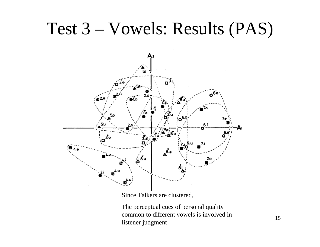### Test 3 – Vowels: Results (PAS)



Since Talkers are clustered,

The perceptual cues of personal quality common to different vowels is involved in listener judgment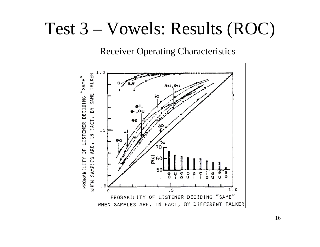### Test 3 – Vowels: Results (ROC)

Receiver Operating Characteristics

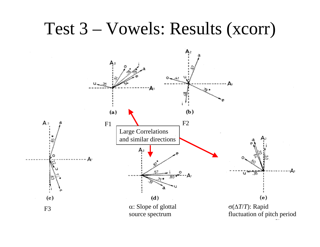### Test 3 – Vowels: Results (xcorr)

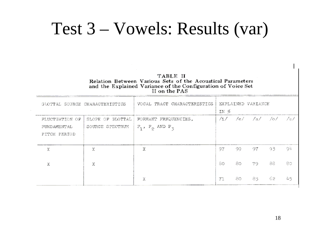### Test 3 – Vowels: Results (var)

TABLE II Relation Between Various Sets of the Acoustical Parameters and the Explained Variance of the Configuration of Voice Set<br>II on the PAS

|                                               | GLOTTAL SOURCE CHARACTERISTICS      | VOCAL TRACT CHARACTERISTICS                     | IN % |     | EXPLAINED VARIANCE    |     |      |
|-----------------------------------------------|-------------------------------------|-------------------------------------------------|------|-----|-----------------------|-----|------|
| FLUCTUATION OF<br>FUNDAMENTAL<br>PITCH PERIOD | SLOPE OF GLOTTAL<br>SOURCE SPECTRUM | FORMANT FREQUENCIES,<br>$F_1$ , $F_2$ AND $F_3$ |      |     | $/1/$ /e/ /a/ /o/ /u/ |     |      |
| X                                             | χ                                   | Χ                                               | 97   | -99 |                       | 93. | -94  |
| х                                             | х                                   |                                                 | 80   | 80  | 79                    | 88  | 80   |
|                                               |                                     | Х                                               | 71   | 80. | 85.                   | 62. | - 45 |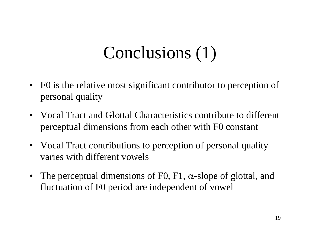# Conclusions (1)

- • F0 is the relative most significant contributor to perception of personal quality
- Vocal Tract and Glottal Characteristics contribute to different perceptual dimensions from each other with F0 constant
- Vocal Tract contributions to perception of personal quality varies with different vowels
- $\bullet$ The perceptual dimensions of F0, F1,  $\alpha$ -slope of glottal, and fluctuation of F0 period are independent of vowel